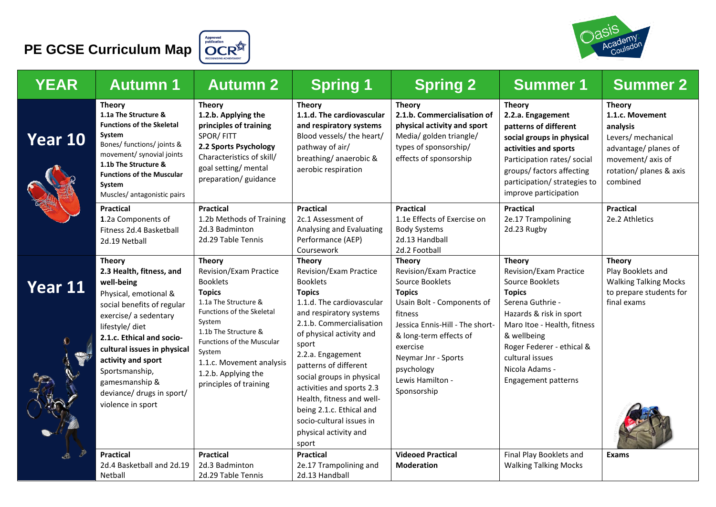# **PE GCSE Curriculum Map**  $\left(\bigcirc_{\text{polarization}}^{\text{Approved}} R^{\text{Approved}}\right)$





| <b>YEAR</b> | <b>Autumn 1</b>                                                                                                                                                                                                                                                                                                                    | <b>Autumn 2</b>                                                                                                                                                                                                                                                                               | <b>Spring 1</b>                                                                                                                                                                                                                                                                                                                                                                                                                     | <b>Spring 2</b>                                                                                                                                                                                                                                                              | <b>Summer 1</b>                                                                                                                                                                                                                                                                 | <b>Summer 2</b>                                                                                                                                       |
|-------------|------------------------------------------------------------------------------------------------------------------------------------------------------------------------------------------------------------------------------------------------------------------------------------------------------------------------------------|-----------------------------------------------------------------------------------------------------------------------------------------------------------------------------------------------------------------------------------------------------------------------------------------------|-------------------------------------------------------------------------------------------------------------------------------------------------------------------------------------------------------------------------------------------------------------------------------------------------------------------------------------------------------------------------------------------------------------------------------------|------------------------------------------------------------------------------------------------------------------------------------------------------------------------------------------------------------------------------------------------------------------------------|---------------------------------------------------------------------------------------------------------------------------------------------------------------------------------------------------------------------------------------------------------------------------------|-------------------------------------------------------------------------------------------------------------------------------------------------------|
| Year 10     | <b>Theory</b><br>1.1a The Structure &<br><b>Functions of the Skeletal</b><br>System<br>Bones/ functions/ joints &<br>movement/ synovial joints<br>1.1b The Structure &<br><b>Functions of the Muscular</b><br>System<br>Muscles/ antagonistic pairs                                                                                | <b>Theory</b><br>1.2.b. Applying the<br>principles of training<br>SPOR/FITT<br>2.2 Sports Psychology<br>Characteristics of skill/<br>goal setting/ mental<br>preparation/ guidance                                                                                                            | <b>Theory</b><br>1.1.d. The cardiovascular<br>and respiratory systems<br>Blood vessels/ the heart/<br>pathway of air/<br>breathing/anaerobic &<br>aerobic respiration                                                                                                                                                                                                                                                               | <b>Theory</b><br>2.1.b. Commercialisation of<br>physical activity and sport<br>Media/ golden triangle/<br>types of sponsorship/<br>effects of sponsorship                                                                                                                    | <b>Theory</b><br>2.2.a. Engagement<br>patterns of different<br>social groups in physical<br>activities and sports<br>Participation rates/ social<br>groups/ factors affecting<br>participation/ strategies to<br>improve participation                                          | <b>Theory</b><br>1.1.c. Movement<br>analysis<br>Levers/ mechanical<br>advantage/ planes of<br>movement/axis of<br>rotation/ planes & axis<br>combined |
|             | <b>Practical</b><br>1.2a Components of<br>Fitness 2d.4 Basketball<br>2d.19 Netball                                                                                                                                                                                                                                                 | <b>Practical</b><br>1.2b Methods of Training<br>2d.3 Badminton<br>2d.29 Table Tennis                                                                                                                                                                                                          | <b>Practical</b><br>2c.1 Assessment of<br>Analysing and Evaluating<br>Performance (AEP)<br>Coursework                                                                                                                                                                                                                                                                                                                               | <b>Practical</b><br>1.1e Effects of Exercise on<br><b>Body Systems</b><br>2d.13 Handball<br>2d.2 Football                                                                                                                                                                    | <b>Practical</b><br>2e.17 Trampolining<br>2d.23 Rugby                                                                                                                                                                                                                           | <b>Practical</b><br>2e.2 Athletics                                                                                                                    |
| Year 11     | <b>Theory</b><br>2.3 Health, fitness, and<br>well-being<br>Physical, emotional &<br>social benefits of regular<br>exercise/ a sedentary<br>lifestyle/ diet<br>2.1.c. Ethical and socio-<br>cultural issues in physical<br>activity and sport<br>Sportsmanship,<br>gamesmanship &<br>deviance/ drugs in sport/<br>violence in sport | <b>Theory</b><br>Revision/Exam Practice<br><b>Booklets</b><br><b>Topics</b><br>1.1a The Structure &<br>Functions of the Skeletal<br>System<br>1.1b The Structure &<br><b>Functions of the Muscular</b><br>System<br>1.1.c. Movement analysis<br>1.2.b. Applying the<br>principles of training | <b>Theory</b><br>Revision/Exam Practice<br><b>Booklets</b><br><b>Topics</b><br>1.1.d. The cardiovascular<br>and respiratory systems<br>2.1.b. Commercialisation<br>of physical activity and<br>sport<br>2.2.a. Engagement<br>patterns of different<br>social groups in physical<br>activities and sports 2.3<br>Health, fitness and well-<br>being 2.1.c. Ethical and<br>socio-cultural issues in<br>physical activity and<br>sport | <b>Theory</b><br><b>Revision/Exam Practice</b><br>Source Booklets<br><b>Topics</b><br>Usain Bolt - Components of<br>fitness<br>Jessica Ennis-Hill - The short-<br>& long-term effects of<br>exercise<br>Neymar Jnr - Sports<br>psychology<br>Lewis Hamilton -<br>Sponsorship | <b>Theory</b><br><b>Revision/Exam Practice</b><br>Source Booklets<br><b>Topics</b><br>Serena Guthrie -<br>Hazards & risk in sport<br>Maro Itoe - Health, fitness<br>& wellbeing<br>Roger Federer - ethical &<br>cultural issues<br>Nicola Adams -<br><b>Engagement patterns</b> | <b>Theory</b><br>Play Booklets and<br><b>Walking Talking Mocks</b><br>to prepare students for<br>final exams                                          |
| È           | <b>Practical</b><br>2d.4 Basketball and 2d.19<br>Netball                                                                                                                                                                                                                                                                           | <b>Practical</b><br>2d.3 Badminton<br>2d.29 Table Tennis                                                                                                                                                                                                                                      | <b>Practical</b><br>2e.17 Trampolining and<br>2d.13 Handball                                                                                                                                                                                                                                                                                                                                                                        | <b>Videoed Practical</b><br><b>Moderation</b>                                                                                                                                                                                                                                | Final Play Booklets and<br><b>Walking Talking Mocks</b>                                                                                                                                                                                                                         | <b>Exams</b>                                                                                                                                          |